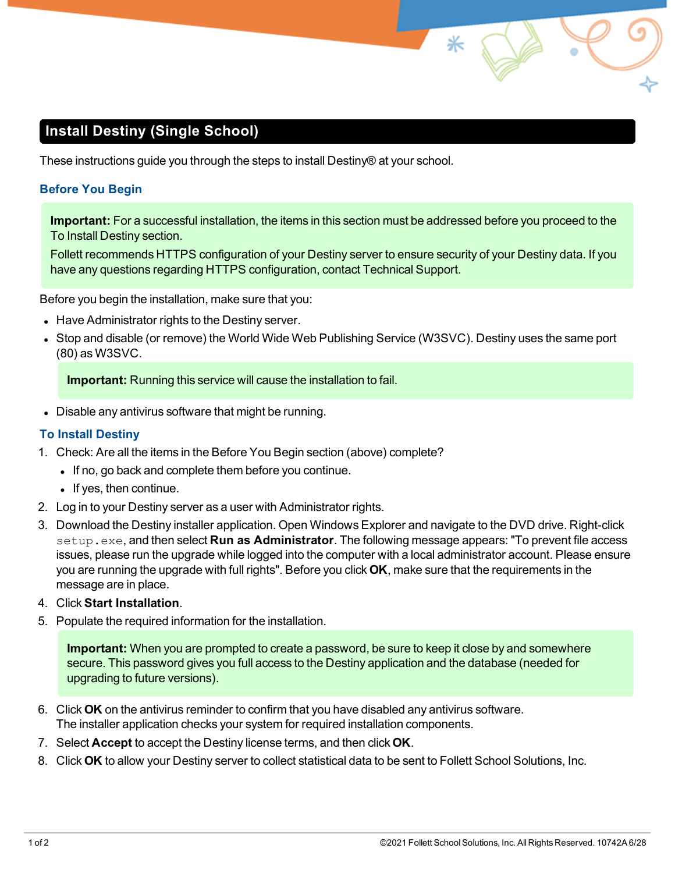# **Install Destiny (Single School)**

These instructions guide you through the steps to install Destiny® at your school.

### **Before You Begin**

**Important:** For a successful installation, the items in this section must be addressed before you proceed to the To Install [Destiny](#page-0-0) section.

Follett recommends HTTPS configuration of your Destiny server to ensure security of your Destiny data. If you have any questions regarding HTTPS configuration, contact Technical Support.

Before you begin the installation, make sure that you:

- Have Administrator rights to the Destiny server.
- Stop and disable (or remove) the World Wide Web Publishing Service (W3SVC). Destiny uses the same port (80) as W3SVC.

**Important:** Running this service will cause the installation to fail.

<span id="page-0-0"></span>• Disable any antivirus software that might be running.

### **To Install Destiny**

- 1. Check: Are all the items in the Before You Begin section (above) complete?
	- If no, go back and complete them before you continue.
	- $\bullet$  If yes, then continue.
- 2. Log in to your Destiny server as a user with Administrator rights.
- 3. Download the Destiny installer application. Open Windows Explorer and navigate to the DVD drive. Right-click setup.exe, and then select **Run as Administrator**. The following message appears: "To prevent file access issues, please run the upgrade while logged into the computer with a local administrator account. Please ensure you are running the upgrade with full rights". Before you click **OK**, make sure that the requirements in the message are in place.
- 4. Click **Start Installation**.
- 5. Populate the required information for the installation.

**Important:** When you are prompted to create a password, be sure to keep it close by and somewhere secure. This password gives you full access to the Destiny application and the database (needed for upgrading to future versions).

- 6. Click **OK** on the antivirus reminder to confirm that you have disabled any antivirus software. The installer application checks your system for required installation components.
- 7. Select **Accept** to accept the Destiny license terms, and then click **OK**.
- 8. Click **OK** to allow your Destiny server to collect statistical data to be sent to Follett School Solutions, Inc.